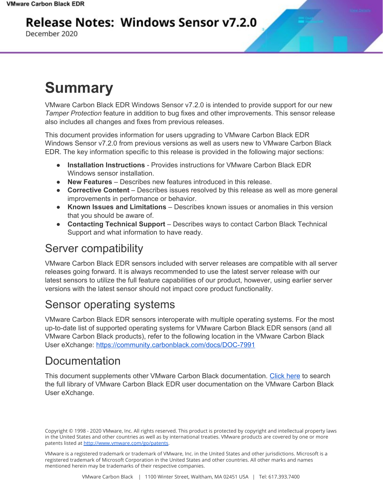## **Release Notes: Windows Sensor v7.2.0**

December 2020

# **Summary**

VMware Carbon Black EDR Windows Sensor v7.2.0 is intended to provide support for our new *Tamper Protection* feature in addition to bug fixes and other improvements. This sensor release also includes all changes and fixes from previous releases.

This document provides information for users upgrading to VMware Carbon Black EDR Windows Sensor v7.2.0 from previous versions as well as users new to VMware Carbon Black EDR. The key information specific to this release is provided in the following major sections:

- **Installation Instructions** Provides instructions for VMware Carbon Black EDR Windows sensor installation.
- **New Features** Describes new features introduced in this release.
- **Corrective Content** Describes issues resolved by this release as well as more general improvements in performance or behavior.
- **Known Issues and Limitations** Describes known issues or anomalies in this version that you should be aware of.
- **Contacting Technical Support** Describes ways to contact Carbon Black Technical Support and what information to have ready.

## Server compatibility

VMware Carbon Black EDR sensors included with server releases are compatible with all server releases going forward. It is always recommended to use the latest server release with our latest sensors to utilize the full feature capabilities of our product, however, using earlier server versions with the latest sensor should not impact core product functionality.

## Sensor operating systems

VMware Carbon Black EDR sensors interoperate with multiple operating systems. For the most up-to-date list of supported operating systems for VMware Carbon Black EDR sensors (and all VMware Carbon Black products), refer to the following location in the VMware Carbon Black User eXchange: <https://community.carbonblack.com/docs/DOC-7991>

## Documentation

This document supplements other VMware Carbon Black documentation. [Click](https://community.carbonblack.com/t5/Cb-Response/ct-p/cbresponse) here to search the full library of VMware Carbon Black EDR user documentation on the VMware Carbon Black User eXchange.

VMware is a registered trademark or trademark of VMware, Inc. in the United States and other jurisdictions. Microsoft is a registered trademark of Microsoft Corporation in the United States and other countries. All other marks and names mentioned herein may be trademarks of their respective companies.

Copyright © 1998 - 2020 VMware, Inc. All rights reserved. This product is protected by copyright and intellectual property laws in the United States and other countries as well as by international treaties. VMware products are covered by one or more patents listed at <http://www.vmware.com/go/patents>.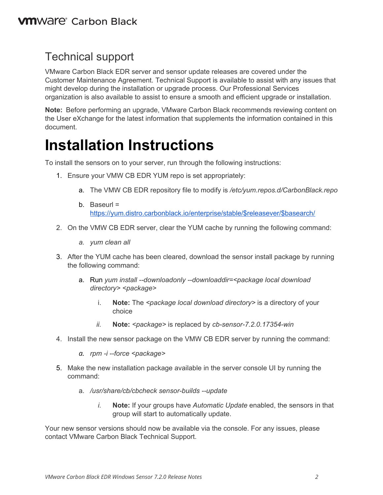### Technical support

VMware Carbon Black EDR server and sensor update releases are covered under the Customer Maintenance Agreement. Technical Support is available to assist with any issues that might develop during the installation or upgrade process. Our Professional Services organization is also available to assist to ensure a smooth and efficient upgrade or installation.

**Note:** Before performing an upgrade, VMware Carbon Black recommends reviewing content on the User eXchange for the latest information that supplements the information contained in this document.

## **Installation Instructions**

To install the sensors on to your server, run through the following instructions:

- 1. Ensure your VMW CB EDR YUM repo is set appropriately:
	- a. The VMW CB EDR repository file to modify is */etc/yum.repos.d/CarbonBlack.repo*
	- b. Baseurl = [https://yum.distro.carbonblack.io/enterprise/stable/\\$releasever/\\$basearch/](https://yum.distro.carbonblack.io/enterprise/stable/$releasever/$basearch/)
- 2. On the VMW CB EDR server, clear the YUM cache by running the following command:
	- *a. yum clean all*
- 3. After the YUM cache has been cleared, download the sensor install package by running the following command:
	- a. Run *yum install --downloadonly --downloaddir=<package local download directory> <package>*
		- i. **Note:** The *<package local download directory>* is a directory of your choice
		- *ii.* **Note:** *<package>* is replaced by *cb-sensor-7.2.0.17354-win*
- 4. Install the new sensor package on the VMW CB EDR server by running the command:
	- *a. rpm -i --force <package>*
- 5. Make the new installation package available in the server console UI by running the command:
	- a. */usr/share/cb/cbcheck sensor-builds --update*
		- *i.* **Note:** If your groups have *Automatic Update* enabled, the sensors in that group will start to automatically update.

Your new sensor versions should now be available via the console. For any issues, please contact VMware Carbon Black Technical Support.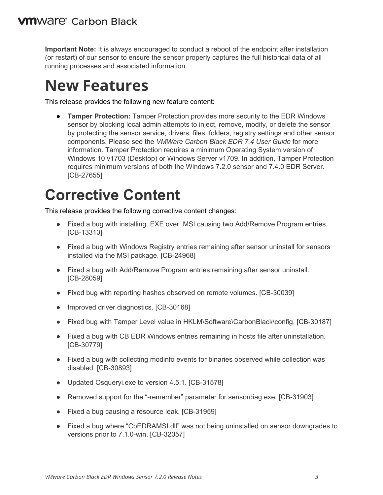**Important Note:** It is always encouraged to conduct a reboot of the endpoint after installation (or restart) of our sensor to ensure the sensor properly captures the full historical data of all running processes and associated information.

## **New Features**

This release provides the following new feature content:

● **Tamper Protection:** Tamper Protection provides more security to the EDR Windows sensor by blocking local admin attempts to inject, remove, modify, or delete the sensor by protecting the sensor service, drivers, files, folders, registry settings and other sensor components. Please see the *VMWare Carbon Black EDR 7.4 User Guide* for more information. Tamper Protection requires a minimum Operating System version of Windows 10 v1703 (Desktop) or Windows Server v1709. In addition, Tamper Protection requires minimum versions of both the Windows 7.2.0 sensor and 7.4.0 EDR Server. [CB-27655]

# **Corrective Content**

This release provides the following corrective content changes:

- Fixed a bug with installing .EXE over .MSI causing two Add/Remove Program entries. [CB-13313]
- Fixed a bug with Windows Registry entries remaining after sensor uninstall for sensors installed via the MSI package. [CB-24968]
- Fixed a bug with Add/Remove Program entries remaining after sensor uninstall. [CB-28059]
- Fixed bug with reporting hashes observed on remote volumes. [CB-30039]
- Improved driver diagnostics. [CB-30168]
- Fixed bug with Tamper Level value in HKLM\Software\CarbonBlack\config. [CB-30187]
- Fixed a bug with CB EDR Windows entries remaining in hosts file after uninstallation. [CB-30779]
- Fixed a bug with collecting modinfo events for binaries observed while collection was disabled. [CB-30893]
- Updated Osqueryi.exe to version 4.5.1. [CB-31578]
- Removed support for the "-remember" parameter for sensordiag.exe. [CB-31903]
- Fixed a bug causing a resource leak. [CB-31959]
- Fixed a bug where "CbEDRAMSI.dll" was not being uninstalled on sensor downgrades to versions prior to 7.1.0-win. [CB-32057]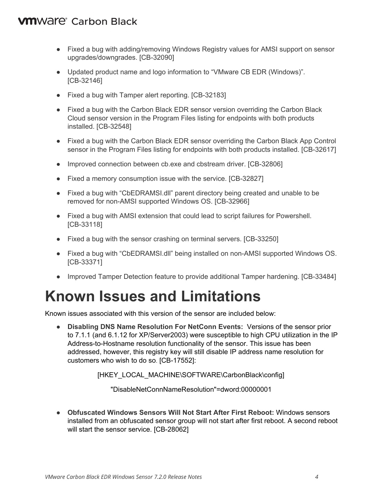#### **VM**Ware<sup>®</sup> Carbon Black

- Fixed a bug with adding/removing Windows Registry values for AMSI support on sensor upgrades/downgrades. [CB-32090]
- Updated product name and logo information to "VMware CB EDR (Windows)". [CB-32146]
- Fixed a bug with Tamper alert reporting. [CB-32183]
- Fixed a bug with the Carbon Black EDR sensor version overriding the Carbon Black Cloud sensor version in the Program Files listing for endpoints with both products installed. [CB-32548]
- Fixed a bug with the Carbon Black EDR sensor overriding the Carbon Black App Control sensor in the Program Files listing for endpoints with both products installed. [CB-32617]
- Improved connection between cb.exe and cbstream driver. [CB-32806]
- Fixed a memory consumption issue with the service. [CB-32827]
- Fixed a bug with "CbEDRAMSI.dll" parent directory being created and unable to be removed for non-AMSI supported Windows OS. [CB-32966]
- Fixed a bug with AMSI extension that could lead to script failures for Powershell. [CB-33118]
- Fixed a bug with the sensor crashing on terminal servers. [CB-33250]
- Fixed a bug with "CbEDRAMSI.dll" being installed on non-AMSI supported Windows OS. [CB-33371]
- Improved Tamper Detection feature to provide additional Tamper hardening. [CB-33484]

## **Known Issues and Limitations**

Known issues associated with this version of the sensor are included below:

● **Disabling DNS Name Resolution For NetConn Events:** Versions of the sensor prior to 7.1.1 (and 6.1.12 for XP/Server2003) were susceptible to high CPU utilization in the IP Address-to-Hostname resolution functionality of the sensor. This issue has been addressed, however, this registry key will still disable IP address name resolution for customers who wish to do so. [CB-17552]:

[HKEY\_LOCAL\_MACHINE\SOFTWARE\CarbonBlack\config]

"DisableNetConnNameResolution"=dword:00000001

● **Obfuscated Windows Sensors Will Not Start After First Reboot:** Windows sensors installed from an obfuscated sensor group will not start after first reboot. A second reboot will start the sensor service. [CB-28062]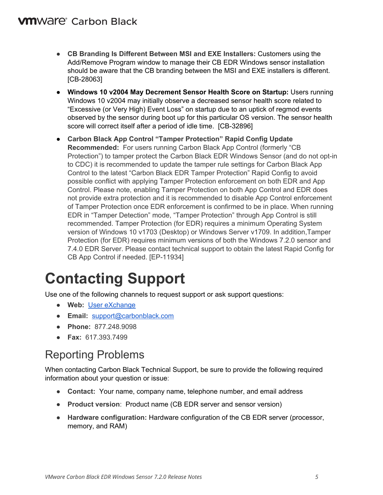#### **VM**Ware<sup>®</sup> Carbon Black

- **CB Branding Is Different Between MSI and EXE Installers:** Customers using the Add/Remove Program window to manage their CB EDR Windows sensor installation should be aware that the CB branding between the MSI and EXE installers is different. [CB-28063]
- **Windows 10 v2004 May Decrement Sensor Health Score on Startup:** Users running Windows 10 v2004 may initially observe a decreased sensor health score related to "Excessive (or Very High) Event Loss" on startup due to an uptick of regmod events observed by the sensor during boot up for this particular OS version. The sensor health score will correct itself after a period of idle time. [CB-32896]
- **Carbon Black App Control "Tamper Protection" Rapid Config Update Recommended:** For users running Carbon Black App Control (formerly "CB Protection") to tamper protect the Carbon Black EDR Windows Sensor (and do not opt-in to CDC) it is recommended to update the tamper rule settings for Carbon Black App Control to the latest "Carbon Black EDR Tamper Protection" Rapid Config to avoid possible conflict with applying Tamper Protection enforcement on both EDR and App Control. Please note, enabling Tamper Protection on both App Control and EDR does not provide extra protection and it is recommended to disable App Control enforcement of Tamper Protection once EDR enforcement is confirmed to be in place. When running EDR in "Tamper Detection" mode, "Tamper Protection" through App Control is still recommended. Tamper Protection (for EDR) requires a minimum Operating System version of Windows 10 v1703 (Desktop) or Windows Server v1709. In addition,Tamper Protection (for EDR) requires minimum versions of both the Windows 7.2.0 sensor and 7.4.0 EDR Server. Please contact technical support to obtain the latest Rapid Config for CB App Control if needed. [EP-11934]

# **Contacting Support**

Use one of the following channels to request support or ask support questions:

- **Web:** User [eXchange](https://community.carbonblack.com/)
- **Email:** [support@carbonblack.com](mailto:support@carbonblack.com)
- **Phone:** 877.248.9098
- **Fax:** 617.393.7499

### Reporting Problems

When contacting Carbon Black Technical Support, be sure to provide the following required information about your question or issue:

- **Contact:** Your name, company name, telephone number, and email address
- **Product version**: Product name (CB EDR server and sensor version)
- **Hardware configuration:** Hardware configuration of the CB EDR server (processor, memory, and RAM)